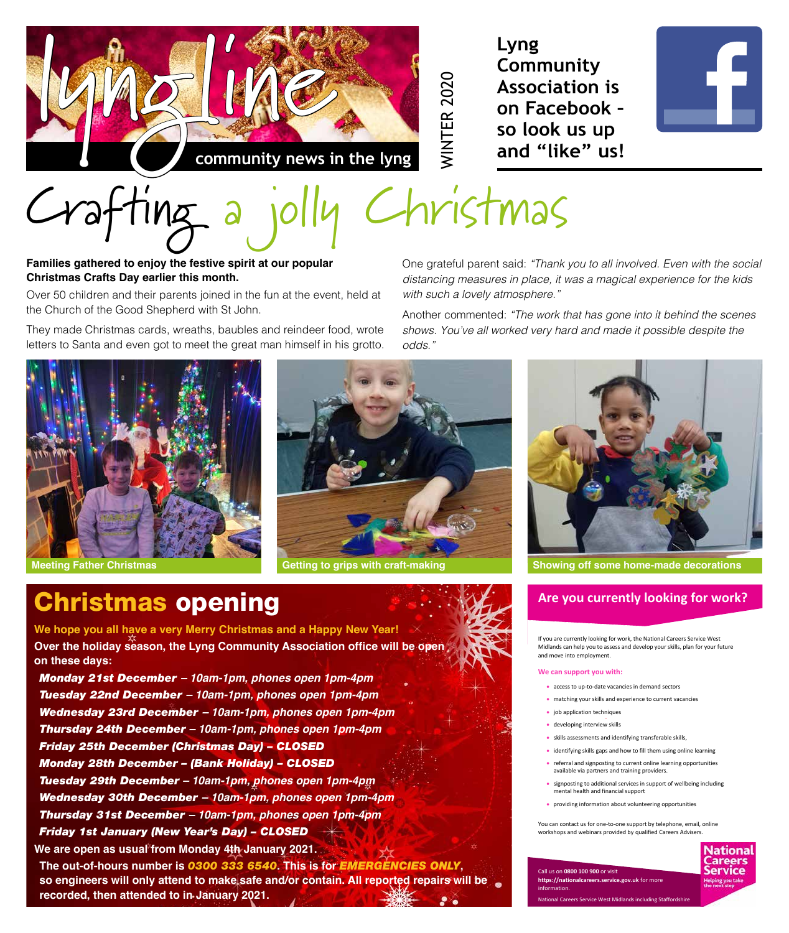

**Lyng Community Association is on Facebook – so look us up and "like" us!**

WINTER 2020

**WINTER 2020** 



# Crafting a jolly Christmas

#### **Families gathered to enjoy the festive spirit at our popular Christmas Crafts Day earlier this month.**

Over 50 children and their parents joined in the fun at the event, held at the Church of the Good Shepherd with St John.

They made Christmas cards, wreaths, baubles and reindeer food, wrote letters to Santa and even got to meet the great man himself in his grotto.

One grateful parent said: *"Thank you to all involved. Even with the social distancing measures in place, it was a magical experience for the kids with such a lovely atmosphere."*

Another commented: *"The work that has gone into it behind the scenes shows. You've all worked very hard and made it possible despite the odds."*



### Christmas opening

**Meeting Father Christmas Getting to grips with craft-making <b>Showing off some home-made decorations Meeting to grips with craft-making** 



#### **Are you currently looking for work?**

If you are currently looking for work, the National Careers Service West Midlands can help you to assess and develop your skills, plan for your future and move into employment.

#### **We can support you with:**

- access to up-to-date vacancies in demand sectors
- matching your skills and experience to current vacancies
- job application techniques
- developing interview skills
- skills assessments and identifying transferable skills,
- identifying skills gaps and how to fill them using online learning
- referral and signposting to current online learning opportunities available via partners and training providers.
- signposting to additional services in support of wellbeing including mental health and financial support
- providing information about volunteering opportunities

You can contact us for one-to-one support by telephone, email, online workshops and webinars provided by qualified Careers Advisers.



Call us on **0800 100 900** or visit **https://nationalcareers.service.gov.uk** for more information.

Service West Midlands including Staf



*Tuesday 29th December – 10am-1pm, phones open 1pm-4pm Wednesday 30th December – 10am-1pm, phones open 1pm-4pm Thursday 31st December – 10am-1pm, phones open 1pm-4pm*

*Friday 1st January (New Year's Day) – CLOSED*

**We are open as usual from Monday 4th January 2021.**

**The out-of-hours number is** *0300 333 6540***. This is for** *EMERGENCIES ONLY***, so engineers will only attend to make safe and/or contain. All reported repairs will be recorded, then attended to in January 2021.**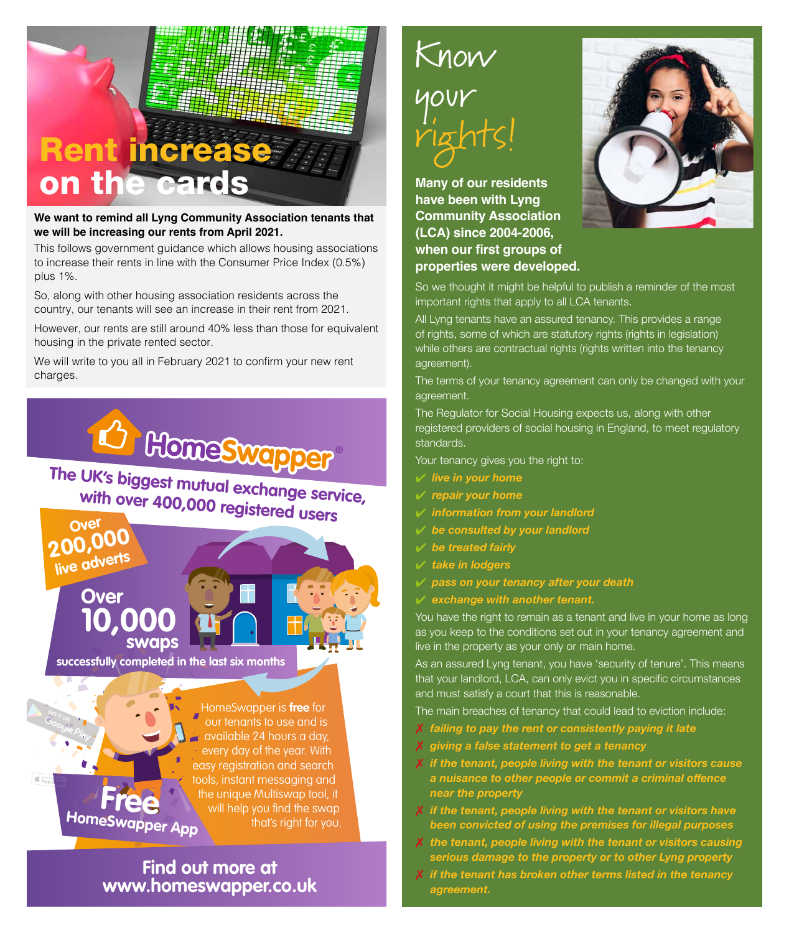# Rent increase on the cards

**We want to remind all Lyng Community Association tenants that we will be increasing our rents from April 2021.**

This follows government guidance which allows housing associations to increase their rents in line with the Consumer Price Index (0.5%) plus 1%.

So, along with other housing association residents across the country, our tenants will see an increase in their rent from 2021.

However, our rents are still around 40% less than those for equivalent housing in the private rented sector.

We will write to you all in February 2021 to confirm your new rent charges.



available 24 hours a day, every day of the year. With easy registration and search tools, instant messaging and the unique Multiswap tool, it will help you find the swap that's right for you. **HomeSwapper App** 

#### **Find out more at www.homeswapper.co.uk**

## Know your rights!

**Many of our residents have been with Lyng Community Association (LCA) since 2004-2006, when our first groups of properties were developed.**



So we thought it might be helpful to publish a reminder of the most important rights that apply to all LCA tenants.

All Lyng tenants have an assured tenancy. This provides a range of rights, some of which are statutory rights (rights in legislation) while others are contractual rights (rights written into the tenancy agreement).

The terms of your tenancy agreement can only be changed with your agreement.

The Regulator for Social Housing expects us, along with other registered providers of social housing in England, to meet regulatory standards.

Your tenancy gives you the right to:

- 4 *live in your home*
- 4 *repair your home*
- 4 *information from your landlord*
- 4 *be consulted by your landlord*
- 4 *be treated fairly*
- 4 *take in lodgers*
- 4 *pass on your tenancy after your death*
- 4 *exchange with another tenant.*

You have the right to remain as a tenant and live in your home as long as you keep to the conditions set out in your tenancy agreement and live in the property as your only or main home.

As an assured Lyng tenant, you have 'security of tenure'. This means that your landlord, LCA, can only evict you in specific circumstances and must satisfy a court that this is reasonable.

The main breaches of tenancy that could lead to eviction include:

- 7 *failing to pay the rent or consistently paying it late*
- 7 *giving a false statement to get a tenancy*
- 7 *if the tenant, people living with the tenant or visitors cause a nuisance to other people or commit a criminal offence near the property*
- 7 *if the tenant, people living with the tenant or visitors have been convicted of using the premises for illegal purposes*
- 7 *the tenant, people living with the tenant or visitors causing serious damage to the property or to other Lyng property*
- 7 *if the tenant has broken other terms listed in the tenancy agreement.*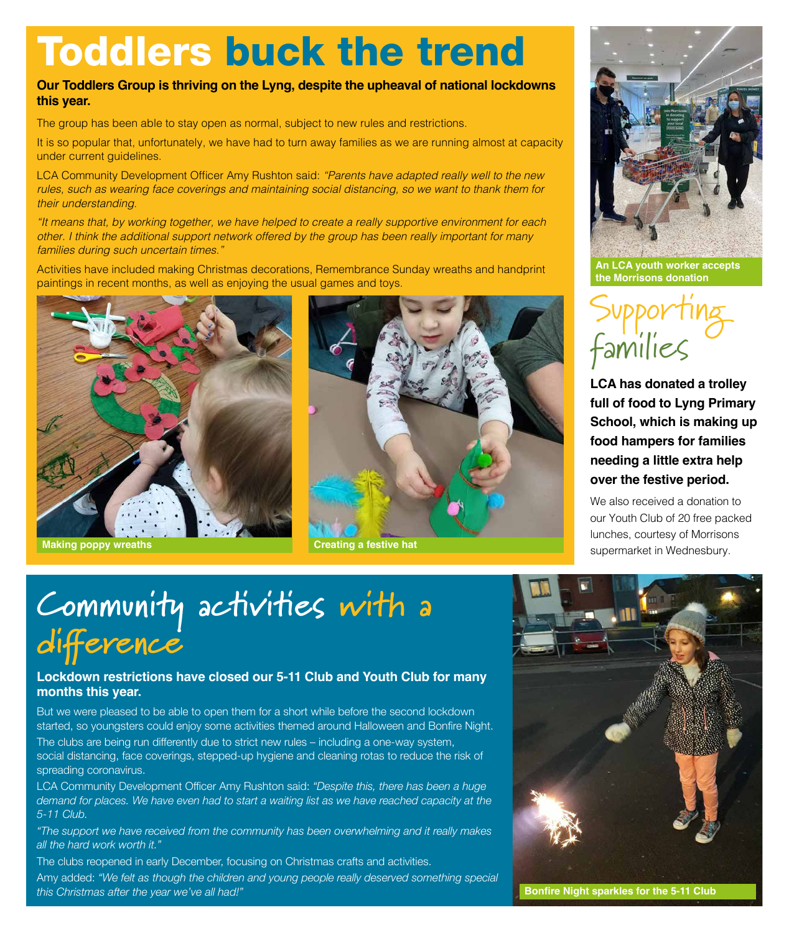# Toddlers buck the trend

#### **Our Toddlers Group is thriving on the Lyng, despite the upheaval of national lockdowns this year.**

The group has been able to stay open as normal, subject to new rules and restrictions.

It is so popular that, unfortunately, we have had to turn away families as we are running almost at capacity under current guidelines.

LCA Community Development Officer Amy Rushton said: *"Parents have adapted really well to the new rules, such as wearing face coverings and maintaining social distancing, so we want to thank them for their understanding.*

*"It means that, by working together, we have helped to create a really supportive environment for each other. I think the additional support network offered by the group has been really important for many families during such uncertain times."*

Activities have included making Christmas decorations, Remembrance Sunday wreaths and handprint paintings in recent months, as well as enjoying the usual games and toys.







**An LCA youth worker accepts the Morrisons donation** 



**LCA has donated a trolley full of food to Lyng Primary School, which is making up food hampers for families needing a little extra help over the festive period.**

We also received a donation to our Youth Club of 20 free packed lunches, courtesy of Morrisons **supermarket in Wednesbury. Making poppy wreaths Creating a festive hat Creating a festive hat CREATING SUPERMARKET AND READ EXAMPLE SUPERMARKET IN Wednesbury.** 

### **Community activities with a difference**

#### **Lockdown restrictions have closed our 5-11 Club and Youth Club for many months this year.**

But we were pleased to be able to open them for a short while before the second lockdown started, so youngsters could enjoy some activities themed around Halloween and Bonfire Night.

The clubs are being run differently due to strict new rules – including a one-way system, social distancing, face coverings, stepped-up hygiene and cleaning rotas to reduce the risk of spreading coronavirus.

LCA Community Development Officer Amy Rushton said: *"Despite this, there has been a huge demand for places. We have even had to start a waiting list as we have reached capacity at the 5-11 Club.*

*"The support we have received from the community has been overwhelming and it really makes all the hard work worth it."*

The clubs reopened in early December, focusing on Christmas crafts and activities.

Amy added: *"We felt as though the children and young people really deserved something special this Christmas after the year we've all had!"* **<b>Bonfire Night sparkles for the 5-11 Club Bonfire Night sparkles for the 5-11 Club**